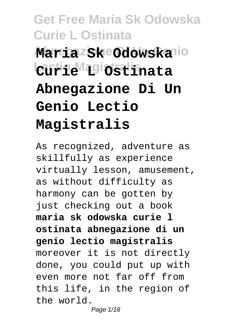# **Get Free Maria Sk Odowska Curie L Ostinata**  $Maria$ <sup>z</sup>sk Odowskalio **Lectio Magistralis Curie L Ostinata Abnegazione Di Un Genio Lectio Magistralis**

As recognized, adventure as skillfully as experience virtually lesson, amusement, as without difficulty as harmony can be gotten by just checking out a book **maria sk odowska curie l ostinata abnegazione di un genio lectio magistralis** moreover it is not directly done, you could put up with even more not far off from this life, in the region of the world.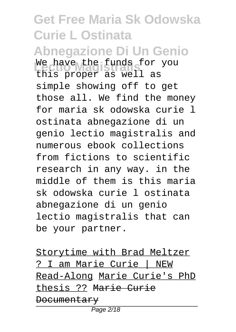### **Get Free Maria Sk Odowska Curie L Ostinata Abnegazione Di Un Genio** We have the funds for you this proper as well as simple showing off to get those all. We find the money for maria sk odowska curie l ostinata abnegazione di un genio lectio magistralis and numerous ebook collections from fictions to scientific research in any way. in the middle of them is this maria sk odowska curie l ostinata abnegazione di un genio lectio magistralis that can be your partner.

Storytime with Brad Meltzer ? I am Marie Curie | NEW Read-Along Marie Curie's PhD thesis ?? Marie Curie **Documentary**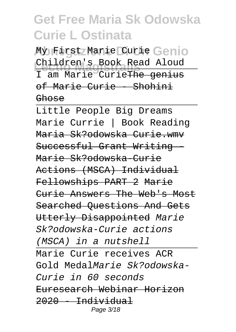My First Marie Curie Genio **Lectio Magistralis** Children's Book Read Aloud I am Marie Curie<del>The genius</del> of Marie Curie - Shohini Ghose

Little People Big Dreams Marie Currie | Book Reading Maria Sk?odowska Curie.wmv Successful Grant Writing Marie Sk?odowska-Curie Actions (MSCA) Individual Fellowships PART 2 Marie Curie Answers The Web's Most Searched Questions And Gets Utterly Disappointed Marie Sk?odowska-Curie actions (MSCA) in a nutshell Marie Curie receives ACR Gold MedalMarie Sk?odowska-Curie in 60 seconds Euresearch Webinar Horizon  $2020 - Individual$ Page 3/18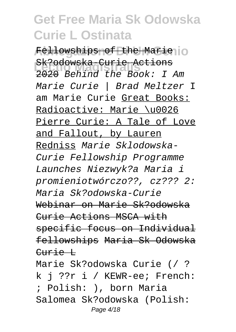Fellowships of the Marie<sub>llo</sub> **Lectio Magistralis** 2020 Behind the Book: I Am Sk?odowska-Curie Actions Marie Curie | Brad Meltzer I am Marie Curie Great Books: Radioactive: Marie \u0026 Pierre Curie: A Tale of Love and Fallout, by Lauren Redniss Marie Sklodowska-Curie Fellowship Programme Launches Niezwyk?a Maria i promieniotwórczo??, cz??? 2: Maria Sk?odowska-Curie Webinar on Marie Sk?odowska Curie Actions MSCA with specific focus on Individual fellowships Maria Sk Odowska Curie L

Marie Sk?odowska Curie (/ ? k j ??r i / KEWR-ee; French: ; Polish: ), born Maria Salomea Sk?odowska (Polish: Page 4/18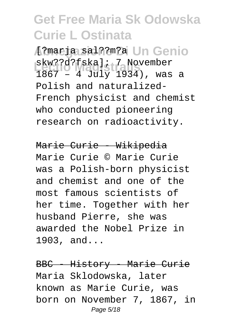**Abnegazione Di Un Genio** [?marja sal??m?a skw??d?fska]; 7 November<br>1067 (101): 1024) 1867 – 4 July 1934), was a Polish and naturalized-French physicist and chemist who conducted pioneering research on radioactivity.

Marie Curie - Wikipedia

Marie Curie © Marie Curie was a Polish-born physicist and chemist and one of the most famous scientists of her time. Together with her husband Pierre, she was awarded the Nobel Prize in 1903, and...

BBC - History - Marie Curie Maria Sklodowska, later known as Marie Curie, was born on November 7, 1867, in Page 5/18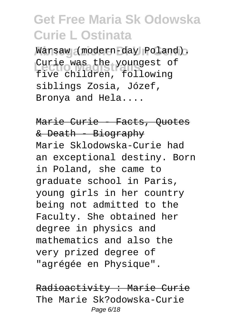**Abnegazione Di Un Genio** Warsaw (modern-day Poland). Curie was the youngest of five children, following siblings Zosia, Józef, Bronya and Hela....

Marie Curie - Facts, Ouotes & Death - Biography Marie Sklodowska-Curie had an exceptional destiny. Born in Poland, she came to graduate school in Paris, young girls in her country being not admitted to the Faculty. She obtained her degree in physics and mathematics and also the very prized degree of "agrégée en Physique".

Radioactivity : Marie Curie The Marie Sk?odowska-Curie Page 6/18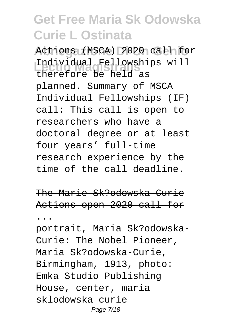Actions (MSCA) 2020 call for **Lectio Magistralis** therefore be held as Individual Fellowships will planned. Summary of MSCA Individual Fellowships (IF) call: This call is open to researchers who have a doctoral degree or at least four years' full-time research experience by the time of the call deadline.

The Marie Sk?odowska-Curie Actions open 2020 call for ...

portrait, Maria Sk?odowska-Curie: The Nobel Pioneer, Maria Sk?odowska-Curie, Birmingham, 1913, photo: Emka Studio Publishing House, center, maria sklodowska curie Page 7/18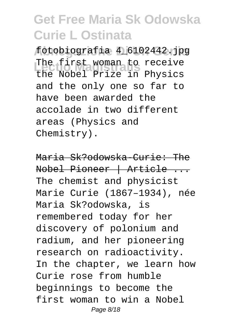**Abnegazione Di Un Genio** fotobiografia 4\_6102442.jpg The first woman to receive<br>The Mabel Prize is Physical the Nobel Prize in Physics and the only one so far to have been awarded the accolade in two different areas (Physics and Chemistry).

Maria Sk?odowska-Curie: The Nobel Pioneer | Article ... The chemist and physicist Marie Curie (1867–1934), née Maria Sk?odowska, is remembered today for her discovery of polonium and radium, and her pioneering research on radioactivity. In the chapter, we learn how Curie rose from humble beginnings to become the first woman to win a Nobel Page 8/18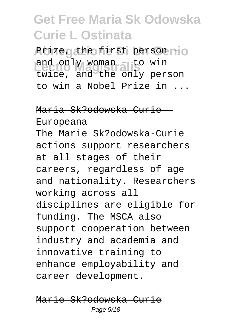Prize, the first person +0 and only woman - to win<br>twice, and the only person and only woman – to win to win a Nobel Prize in ...

### Maria Sk?odowska-Curie -

#### Europeana

The Marie Sk?odowska-Curie actions support researchers at all stages of their careers, regardless of age and nationality. Researchers working across all disciplines are eligible for funding. The MSCA also support cooperation between industry and academia and innovative training to enhance employability and career development.

Marie Sk?odowska-Curie Page 9/18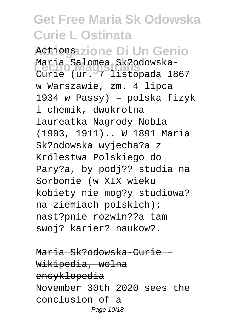<del>Actiona</del>zione Di Un Genio **Lectio Magistralis** Curie (ur. 7 listopada 1867 Maria Salomea Sk?odowskaw Warszawie, zm. 4 lipca 1934 w Passy) – polska fizyk i chemik, dwukrotna laureatka Nagrody Nobla (1903, 1911).. W 1891 Maria Sk?odowska wyjecha?a z Królestwa Polskiego do Pary?a, by podj?? studia na Sorbonie (w XIX wieku kobiety nie mog?y studiowa? na ziemiach polskich); nast?pnie rozwin??a tam swoj? karier? naukow?.

Maria Sk?odowska-Curie – Wikipedia, wolna encyklopedia November 30th 2020 sees the conclusion of a Page 10/18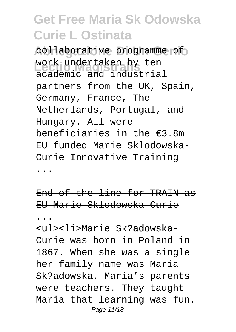collaborative programme of work undertaken by ten<br>academic and industrial work undertaken by ten partners from the UK, Spain, Germany, France, The Netherlands, Portugal, and Hungary. All were beneficiaries in the €3.8m EU funded Marie Sklodowska-Curie Innovative Training ...

End of the line for TRAIN as EU Marie Sklodowska Curie ...

<ul><li>Marie Sk?adowska-Curie was born in Poland in 1867. When she was a single her family name was Maria Sk?adowska. Maria's parents were teachers. They taught Maria that learning was fun. Page 11/18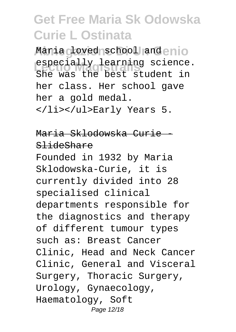Maria <sub>C</sub>loved school and enio especially learning science. She was the best student in her class. Her school gave her a gold medal. </li></ul>Early Years 5.

Maria Sklodowska Curie - SlideShare

Founded in 1932 by Maria Sklodowska-Curie, it is currently divided into 28 specialised clinical departments responsible for the diagnostics and therapy of different tumour types such as: Breast Cancer Clinic, Head and Neck Cancer Clinic, General and Visceral Surgery, Thoracic Surgery, Urology, Gynaecology, Haematology, Soft Page 12/18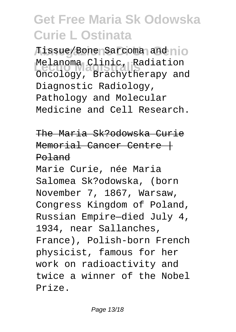Tissue/Bone Sarcoma and nio Melanoma Clinic, Radiation<br>Crasicau Presbutherenu en Oncology, Brachytherapy and Diagnostic Radiology, Pathology and Molecular Medicine and Cell Research.

The Maria Sk?odowska Curie Memorial Cancer Centre + Poland

Marie Curie, née Maria Salomea Sk?odowska, (born November 7, 1867, Warsaw, Congress Kingdom of Poland, Russian Empire—died July 4, 1934, near Sallanches, France), Polish-born French physicist, famous for her work on radioactivity and twice a winner of the Nobel Prize.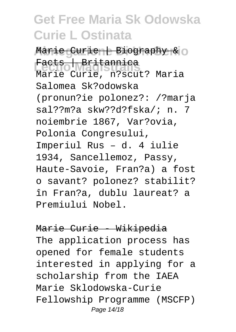Marie Curie | Biography & O **Lectio Magistralis** Marie Curie, n?scut? Maria Facts | Britannica Salomea Sk?odowska (pronun?ie polonez?: /?marja sal??m?a skw??d?fska/; n. 7 noiembrie 1867, Var?ovia, Polonia Congresului, Imperiul Rus – d. 4 iulie 1934, Sancellemoz, Passy, Haute-Savoie, Fran?a) a fost o savant? polonez? stabilit? în Fran?a, dublu laureat? a Premiului Nobel.

Marie Curie - Wikipedia The application process has opened for female students interested in applying for a scholarship from the IAEA Marie Sklodowska-Curie Fellowship Programme (MSCFP) Page 14/18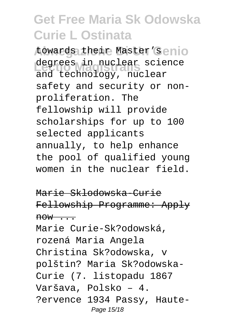towards their Master's enio degrees in nuclear science and technology, nuclear safety and security or nonproliferation. The fellowship will provide scholarships for up to 100 selected applicants annually, to help enhance the pool of qualified young women in the nuclear field.

Marie Sklodowska-Curie Fellowship Programme: Apply  $now \t.$ Marie Curie-Sk?odowská, rozená Maria Angela Christina Sk?odowska, v polštin? Maria Sk?odowska-Curie (7. listopadu 1867 Varšava, Polsko – 4. ?ervence 1934 Passy, Haute-Page 15/18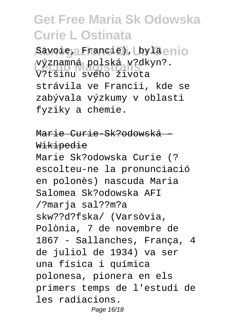Savoie, Francie), bylaenio významná polská v?dkyn?.<br>V<sup>2+</sub>×inu svého živete</sup> V?tšinu svého života strávila ve Francii, kde se zabývala výzkumy v oblasti fyziky a chemie.

Marie Curie-Sk?odowská – Wikipedie

Marie Sk?odowska Curie (? escolteu-ne la pronunciació en polonès) nascuda Maria Salomea Sk?odowska AFI /?marja sal??m?a skw??d?fska/ (Varsòvia, Polònia, 7 de novembre de 1867 - Sallanches, França, 4 de juliol de 1934) va ser una física i química polonesa, pionera en els primers temps de l'estudi de les radiacions. Page 16/18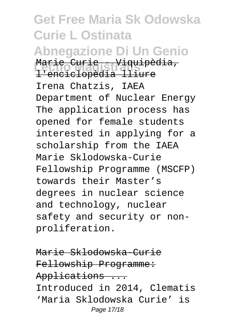**Get Free Maria Sk Odowska Curie L Ostinata Abnegazione Di Un Genio Lectio Magistralis** Marie Curie - Viquipèdia, l'enciclopèdia lliure Irena Chatzis, IAEA Department of Nuclear Energy The application process has opened for female students interested in applying for a scholarship from the IAEA Marie Sklodowska-Curie Fellowship Programme (MSCFP) towards their Master's degrees in nuclear science and technology, nuclear safety and security or nonproliferation.

Marie Sklodowska-Curie Fellowship Programme: Applications ... Introduced in 2014, Clematis 'Maria Sklodowska Curie' is Page 17/18